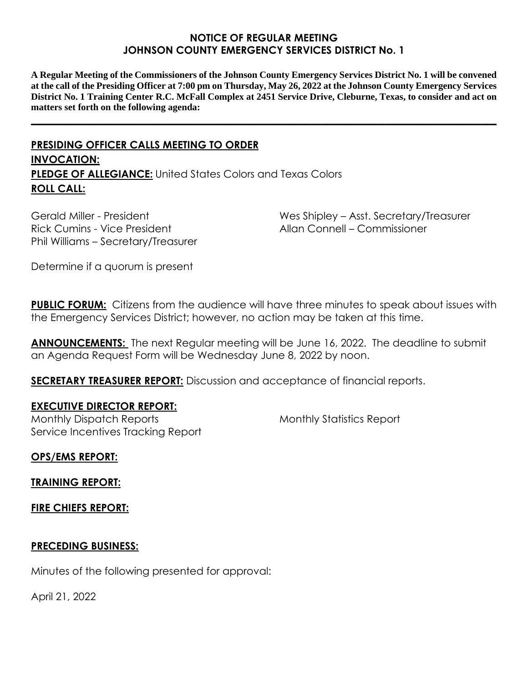### **NOTICE OF REGULAR MEETING JOHNSON COUNTY EMERGENCY SERVICES DISTRICT No. 1**

**A Regular Meeting of the Commissioners of the Johnson County Emergency Services District No. 1 will be convened at the call of the Presiding Officer at 7:00 pm on Thursday, May 26, 2022 at the Johnson County Emergency Services District No. 1 Training Center R.C. McFall Complex at 2451 Service Drive, Cleburne, Texas, to consider and act on matters set forth on the following agenda:**

**\_\_\_\_\_\_\_\_\_\_\_\_\_\_\_\_\_\_\_\_\_\_\_\_\_\_\_\_\_\_\_\_\_\_\_\_\_\_\_\_\_\_\_\_\_\_\_\_\_\_\_\_\_\_\_\_\_\_\_\_\_\_\_\_\_\_\_\_\_\_\_\_\_\_\_\_\_\_\_\_\_\_\_\_\_\_\_\_\_\_**

# **PRESIDING OFFICER CALLS MEETING TO ORDER INVOCATION: PLEDGE OF ALLEGIANCE:** United States Colors and Texas Colors **ROLL CALL:**

Gerald Miller - President Rick Cumins - Vice President Phil Williams – Secretary/Treasurer Wes Shipley – Asst. Secretary/Treasurer Allan Connell – Commissioner

Determine if a quorum is present

**PUBLIC FORUM:** Citizens from the audience will have three minutes to speak about issues with the Emergency Services District; however, no action may be taken at this time.

**ANNOUNCEMENTS:** The next Regular meeting will be June 16, 2022. The deadline to submit an Agenda Request Form will be Wednesday June 8, 2022 by noon.

**SECRETARY TREASURER REPORT:** Discussion and acceptance of financial reports.

#### **EXECUTIVE DIRECTOR REPORT:**

Monthly Dispatch Reports Service Incentives Tracking Report Monthly Statistics Report

**OPS/EMS REPORT:**

**TRAINING REPORT:**

**FIRE CHIEFS REPORT:**

#### **PRECEDING BUSINESS:**

Minutes of the following presented for approval:

April 21, 2022